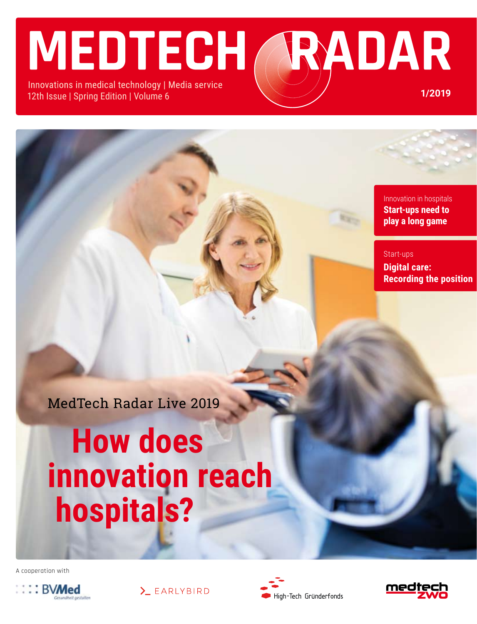# **MEDTECH** RADAR

Innovations in medical technology | Media service 12th Issue | Spring Edition | Volume 6

> Innovation in hospitals **Start-ups need to play a long game**

**1/2019**

Start-ups **Digital care: Recording the position**

 $\overline{1}$ MedTech Radar Live 2019

# **How does innovation reach hospitals?**

A cooperation with







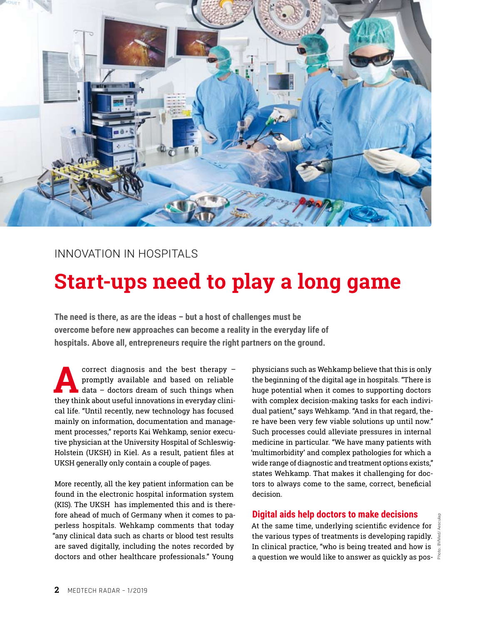

### Innovation in hospitals

## **Start-ups need to play a long game**

**The need is there, as are the ideas – but a host of challenges must be overcome before new approaches can become a reality in the everyday life of hospitals. Above all, entrepreneurs require the right partners on the ground.**

**A** correct diagnosis and the best therapy –<br>promptly available and based on reliable<br>data – doctors dream of such things when<br>they think about useful innovations in everyday clinipromptly available and based on reliable data – doctors dream of such things when they think about useful innovations in everyday clinical life. "Until recently, new technology has focused mainly on information, documentation and management processes," reports Kai Wehkamp, senior executive physician at the University Hospital of Schleswig-Holstein (UKSH) in Kiel. As a result, patient files at UKSH generally only contain a couple of pages.

More recently, all the key patient information can be found in the electronic hospital information system (KIS). The UKSH has implemented this and is therefore ahead of much of Germany when it comes to paperless hospitals. Wehkamp comments that today "any clinical data such as charts or blood test results are saved digitally, including the notes recorded by doctors and other healthcare professionals." Young

physicians such as Wehkamp believe that this is only the beginning of the digital age in hospitals. "There is huge potential when it comes to supporting doctors with complex decision-making tasks for each individual patient," says Wehkamp. "And in that regard, there have been very few viable solutions up until now." Such processes could alleviate pressures in internal medicine in particular. "We have many patients with 'multimorbidity' and complex pathologies for which a wide range of diagnostic and treatment options exists," states Wehkamp. That makes it challenging for doctors to always come to the same, correct, beneficial decision.

#### **Digital aids help doctors to make decisions**

At the same time, underlying scientific evidence for the various types of treatments is developing rapidly.  $\frac{5}{8}$ In clinical practice, "who is being treated and how is a question we would like to answer as quickly as pos-  $\frac{2}{3}$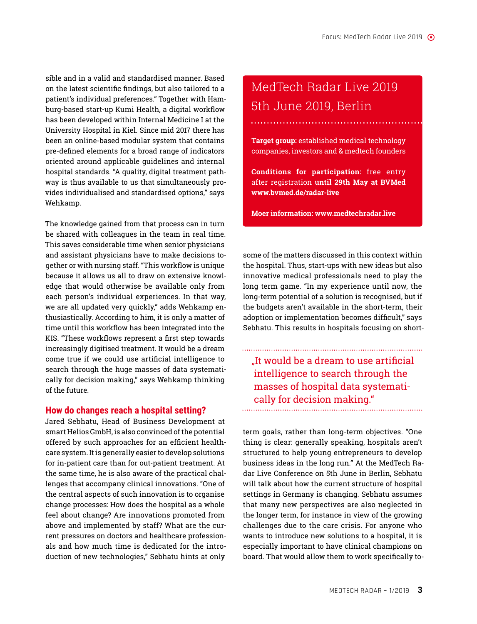sible and in a valid and standardised manner. Based on the latest scientific findings, but also tailored to a patient's individual preferences." Together with Hamburg-based start-up Kumi Health, a digital workflow has been developed within Internal Medicine I at the University Hospital in Kiel. Since mid 2017 there has been an online-based modular system that contains pre-defined elements for a broad range of indicators oriented around applicable guidelines and internal hospital standards. "A quality, digital treatment pathway is thus available to us that simultaneously provides individualised and standardised options," says Wehkamp.

The knowledge gained from that process can in turn be shared with colleagues in the team in real time. This saves considerable time when senior physicians and assistant physicians have to make decisions together or with nursing staff. "This workflow is unique because it allows us all to draw on extensive knowledge that would otherwise be available only from each person's individual experiences. In that way, we are all updated very quickly," adds Wehkamp enthusiastically. According to him, it is only a matter of time until this workflow has been integrated into the KIS. "These workflows represent a first step towards increasingly digitised treatment. It would be a dream come true if we could use artificial intelligence to search through the huge masses of data systematically for decision making," says Wehkamp thinking of the future.

#### **How do changes reach a hospital setting?**

Jared Sebhatu, Head of Business Development at smart Helios GmbH, is also convinced of the potential offered by such approaches for an efficient healthcare system. It is generally easier to develop solutions for in-patient care than for out-patient treatment. At the same time, he is also aware of the practical challenges that accompany clinical innovations. "One of the central aspects of such innovation is to organise change processes: How does the hospital as a whole feel about change? Are innovations promoted from above and implemented by staff? What are the current pressures on doctors and healthcare professionals and how much time is dedicated for the introduction of new technologies," Sebhatu hints at only

## MedTech Radar Live 2019 5th June 2019, Berlin

**Target group:** established medical technology companies, investors and & medtech founders

**Conditions for participation:** free entry after registration **until 29th May at BVMed www.bvmed.de/radar-live**

**Moer information: www.medtechradar.live**

some of the matters discussed in this context within the hospital. Thus, start-ups with new ideas but also innovative medical professionals need to play the long term game. "In my experience until now, the long-term potential of a solution is recognised, but if the budgets aren't available in the short-term, their adoption or implementation becomes difficult," says Sebhatu. This results in hospitals focusing on short-

"It would be a dream to use artificial intelligence to search through the masses of hospital data systematically for decision making."

term goals, rather than long-term objectives. "One thing is clear: generally speaking, hospitals aren't structured to help young entrepreneurs to develop business ideas in the long run." At the MedTech Radar Live Conference on 5th June in Berlin, Sebhatu will talk about how the current structure of hospital settings in Germany is changing. Sebhatu assumes that many new perspectives are also neglected in the longer term, for instance in view of the growing challenges due to the care crisis. For anyone who wants to introduce new solutions to a hospital, it is especially important to have clinical champions on board. That would allow them to work specifically to-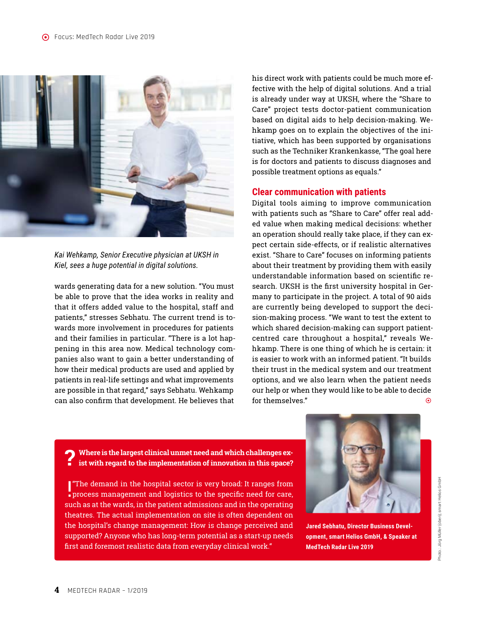

*Kai Wehkamp, Senior Executive physician at UKSH in Kiel, sees a huge potential in digital solutions.* 

wards generating data for a new solution. "You must be able to prove that the idea works in reality and that it offers added value to the hospital, staff and patients," stresses Sebhatu. The current trend is towards more involvement in procedures for patients and their families in particular. "There is a lot happening in this area now. Medical technology companies also want to gain a better understanding of how their medical products are used and applied by patients in real-life settings and what improvements are possible in that regard," says Sebhatu. Wehkamp can also confirm that development. He believes that

his direct work with patients could be much more effective with the help of digital solutions. And a trial is already under way at UKSH, where the "Share to Care" project tests doctor-patient communication based on digital aids to help decision-making. Wehkamp goes on to explain the objectives of the initiative, which has been supported by organisations such as the Techniker Krankenkasse, "The goal here is for doctors and patients to discuss diagnoses and possible treatment options as equals."

#### **Clear communication with patients**

Digital tools aiming to improve communication with patients such as "Share to Care" offer real added value when making medical decisions: whether an operation should really take place, if they can expect certain side-effects, or if realistic alternatives exist. "Share to Care" focuses on informing patients about their treatment by providing them with easily understandable information based on scientific research. UKSH is the first university hospital in Germany to participate in the project. A total of 90 aids are currently being developed to support the decision-making process. "We want to test the extent to which shared decision-making can support patientcentred care throughout a hospital," reveals Wehkamp. There is one thing of which he is certain: it is easier to work with an informed patient. "It builds their trust in the medical system and our treatment options, and we also learn when the patient needs our help or when they would like to be able to decide for themselves."  $\qquad \qquad \bullet$ 



 ! "The demand in the hospital sector is very broad: It ranges from process management and logistics to the specific need for care, such as at the wards, in the patient admissions and in the operating theatres. The actual implementation on site is often dependent on the hospital's change management: How is change perceived and supported? Anyone who has long-term potential as a start-up needs first and foremost realistic data from everyday clinical work."



**Jared Sebhatu, Director Business Development, smart Helios GmbH, & Speaker at MedTech Radar Live 2019**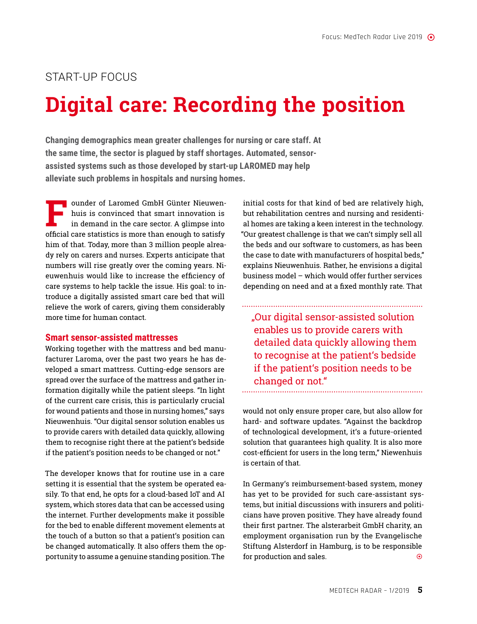### START-UP FOCUS

# **Digital care: Recording the position**

**Changing demographics mean greater challenges for nursing or care staff. At the same time, the sector is plagued by staff shortages. Automated, sensorassisted systems such as those developed by start-up LAROMED may help alleviate such problems in hospitals and nursing homes.**

F and ounder of Laromed GmbH Günter Nieuwen-<br>huis is convinced that smart innovation is<br>in demand in the care sector. A glimpse into<br>official care statistics is more than enough to satisfy huis is convinced that smart innovation is in demand in the care sector. A glimpse into official care statistics is more than enough to satisfy him of that. Today, more than 3 million people already rely on carers and nurses. Experts anticipate that numbers will rise greatly over the coming years. Nieuwenhuis would like to increase the efficiency of care systems to help tackle the issue. His goal: to introduce a digitally assisted smart care bed that will relieve the work of carers, giving them considerably more time for human contact.

#### **Smart sensor-assisted mattresses**

Working together with the mattress and bed manufacturer Laroma, over the past two years he has developed a smart mattress. Cutting-edge sensors are spread over the surface of the mattress and gather information digitally while the patient sleeps. "In light of the current care crisis, this is particularly crucial for wound patients and those in nursing homes," says Nieuwenhuis. "Our digital sensor solution enables us to provide carers with detailed data quickly, allowing them to recognise right there at the patient's bedside if the patient's position needs to be changed or not."

The developer knows that for routine use in a care setting it is essential that the system be operated easily. To that end, he opts for a cloud-based IoT and AI system, which stores data that can be accessed using the internet. Further developments make it possible for the bed to enable different movement elements at the touch of a button so that a patient's position can be changed automatically. It also offers them the opportunity to assume a genuine standing position. The

initial costs for that kind of bed are relatively high, but rehabilitation centres and nursing and residential homes are taking a keen interest in the technology. "Our greatest challenge is that we can't simply sell all the beds and our software to customers, as has been the case to date with manufacturers of hospital beds," explains Nieuwenhuis. Rather, he envisions a digital business model – which would offer further services depending on need and at a fixed monthly rate. That

"Our digital sensor-assisted solution enables us to provide carers with detailed data quickly allowing them to recognise at the patient's bedside if the patient's position needs to be changed or not."

would not only ensure proper care, but also allow for hard- and software updates. "Against the backdrop of technological development, it's a future-oriented solution that guarantees high quality. It is also more cost-efficient for users in the long term," Niewenhuis is certain of that.

In Germany's reimbursement-based system, money has yet to be provided for such care-assistant systems, but initial discussions with insurers and politicians have proven positive. They have already found their first partner. The alsterarbeit GmbH charity, an employment organisation run by the Evangelische Stiftung Alsterdorf in Hamburg, is to be responsible for production and sales.  $\bullet$